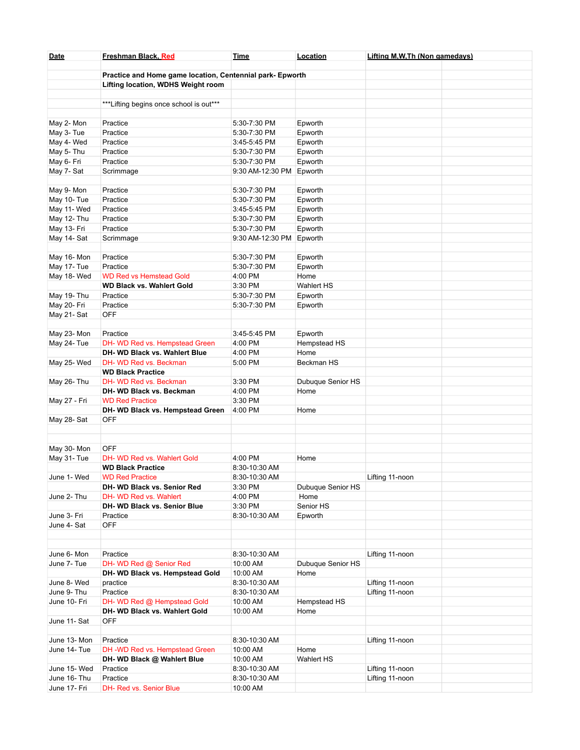| <b>Date</b>                | Freshman Black, Red<br><u>Time</u>                        |                                | Location                  | <b>Lifting M, W, Th (Non gamedays)</b> |  |
|----------------------------|-----------------------------------------------------------|--------------------------------|---------------------------|----------------------------------------|--|
|                            |                                                           |                                |                           |                                        |  |
|                            | Practice and Home game location, Centennial park- Epworth |                                |                           |                                        |  |
|                            | Lifting location, WDHS Weight room                        |                                |                           |                                        |  |
|                            |                                                           |                                |                           |                                        |  |
|                            | ***Lifting begins once school is out***                   |                                |                           |                                        |  |
|                            |                                                           |                                |                           |                                        |  |
| May 2- Mon                 | Practice                                                  | 5:30-7:30 PM                   | Epworth                   |                                        |  |
| May 3- Tue                 | Practice                                                  | 5:30-7:30 PM                   | Epworth                   |                                        |  |
| May 4- Wed                 | Practice                                                  | 3:45-5:45 PM                   | Epworth                   |                                        |  |
| May 5- Thu                 | Practice                                                  | 5:30-7:30 PM                   | Epworth                   |                                        |  |
| May 6- Fri                 | Practice                                                  | 5:30-7:30 PM                   | Epworth                   |                                        |  |
| May 7- Sat                 | Scrimmage                                                 | 9:30 AM-12:30 PM               | Epworth                   |                                        |  |
|                            |                                                           |                                |                           |                                        |  |
| May 9-Mon                  | Practice                                                  | 5:30-7:30 PM                   | Epworth                   |                                        |  |
| May 10- Tue                | Practice                                                  | 5:30-7:30 PM                   | Epworth                   |                                        |  |
| May 11- Wed                | Practice                                                  | 3:45-5:45 PM                   | Epworth                   |                                        |  |
| May 12- Thu                | Practice                                                  | 5:30-7:30 PM                   | Epworth                   |                                        |  |
| May 13- Fri                | Practice                                                  | 5:30-7:30 PM                   | Epworth                   |                                        |  |
| May 14- Sat                |                                                           | 9:30 AM-12:30 PM               | Epworth                   |                                        |  |
|                            | Scrimmage                                                 |                                |                           |                                        |  |
| May 16-Mon                 |                                                           |                                |                           |                                        |  |
|                            | Practice<br>Practice                                      | 5:30-7:30 PM                   | Epworth                   |                                        |  |
| May 17- Tue<br>May 18- Wed | <b>WD Red vs Hemstead Gold</b>                            | 5:30-7:30 PM<br>4:00 PM        | Epworth<br>Home           |                                        |  |
|                            |                                                           |                                |                           |                                        |  |
|                            | WD Black vs. Wahlert Gold                                 | 3:30 PM                        | <b>Wahlert HS</b>         |                                        |  |
| May 19- Thu                | Practice                                                  | 5:30-7:30 PM                   | Epworth                   |                                        |  |
| May 20- Fri                | Practice                                                  | 5:30-7:30 PM                   | Epworth                   |                                        |  |
| May 21-Sat                 | OFF                                                       |                                |                           |                                        |  |
|                            |                                                           |                                |                           |                                        |  |
| May 23- Mon                | Practice                                                  | 3:45-5:45 PM                   | Epworth                   |                                        |  |
| May 24- Tue                | DH- WD Red vs. Hempstead Green                            | 4:00 PM                        | Hempstead HS              |                                        |  |
|                            | DH- WD Black vs. Wahlert Blue                             | 4:00 PM                        | Home                      |                                        |  |
| May 25- Wed                | DH- WD Red vs. Beckman                                    | 5:00 PM                        | Beckman HS                |                                        |  |
|                            | <b>WD Black Practice</b>                                  |                                |                           |                                        |  |
| May 26- Thu                | DH- WD Red vs. Beckman                                    | 3:30 PM                        | Dubuque Senior HS         |                                        |  |
| May 27 - Fri               | DH-WD Black vs. Beckman                                   | 4:00 PM                        | Home                      |                                        |  |
|                            | <b>WD Red Practice</b>                                    | 3:30 PM                        |                           |                                        |  |
|                            | DH- WD Black vs. Hempstead Green                          | 4:00 PM                        | Home                      |                                        |  |
| May 28- Sat                | OFF                                                       |                                |                           |                                        |  |
|                            |                                                           |                                |                           |                                        |  |
|                            |                                                           |                                |                           |                                        |  |
| May 30- Mon<br>May 31- Tue | OFF                                                       |                                |                           |                                        |  |
|                            | DH- WD Red vs. Wahlert Gold                               | 4:00 PM                        | Home                      |                                        |  |
|                            | <b>WD Black Practice</b><br><b>WD Red Practice</b>        | 8:30-10:30 AM<br>8:30-10:30 AM |                           | Lifting 11-noon                        |  |
| June 1- Wed                | DH-WD Black vs. Senior Red                                |                                |                           |                                        |  |
|                            | DH- WD Red vs. Wahlert                                    | 3:30 PM<br>4:00 PM             | Dubuque Senior HS<br>Home |                                        |  |
| June 2- Thu                | DH-WD Black vs. Senior Blue                               | 3:30 PM                        | Senior HS                 |                                        |  |
| June 3- Fri                | Practice                                                  | 8:30-10:30 AM                  | Epworth                   |                                        |  |
| June 4- Sat                | OFF                                                       |                                |                           |                                        |  |
|                            |                                                           |                                |                           |                                        |  |
|                            |                                                           |                                |                           |                                        |  |
| June 6- Mon                | Practice                                                  | 8:30-10:30 AM                  |                           | Lifting 11-noon                        |  |
| June 7- Tue                | DH- WD Red @ Senior Red                                   | 10:00 AM                       | Dubuque Senior HS         |                                        |  |
|                            | DH- WD Black vs. Hempstead Gold                           | 10:00 AM                       | Home                      |                                        |  |
| June 8- Wed                | practice                                                  | 8:30-10:30 AM                  |                           | Lifting 11-noon                        |  |
| June 9- Thu                | Practice                                                  | 8:30-10:30 AM                  |                           | Lifting 11-noon                        |  |
| June 10- Fri               | DH- WD Red @ Hempstead Gold                               | 10:00 AM                       | Hempstead HS              |                                        |  |
|                            | DH- WD Black vs. Wahlert Gold                             | 10:00 AM                       | Home                      |                                        |  |
| June 11- Sat               | OFF                                                       |                                |                           |                                        |  |
|                            |                                                           |                                |                           |                                        |  |
| June 13- Mon               | Practice                                                  | 8:30-10:30 AM                  |                           | Lifting 11-noon                        |  |
| June 14- Tue               | DH-WD Red vs. Hempstead Green                             | 10:00 AM                       | Home                      |                                        |  |
|                            | DH- WD Black @ Wahlert Blue                               | 10:00 AM                       | Wahlert HS                |                                        |  |
| June 15-Wed                | Practice                                                  | 8:30-10:30 AM                  |                           | Lifting 11-noon                        |  |
| June 16- Thu               | Practice                                                  | 8:30-10:30 AM                  |                           | Lifting 11-noon                        |  |
| June 17- Fri               | DH- Red vs. Senior Blue                                   | 10:00 AM                       |                           |                                        |  |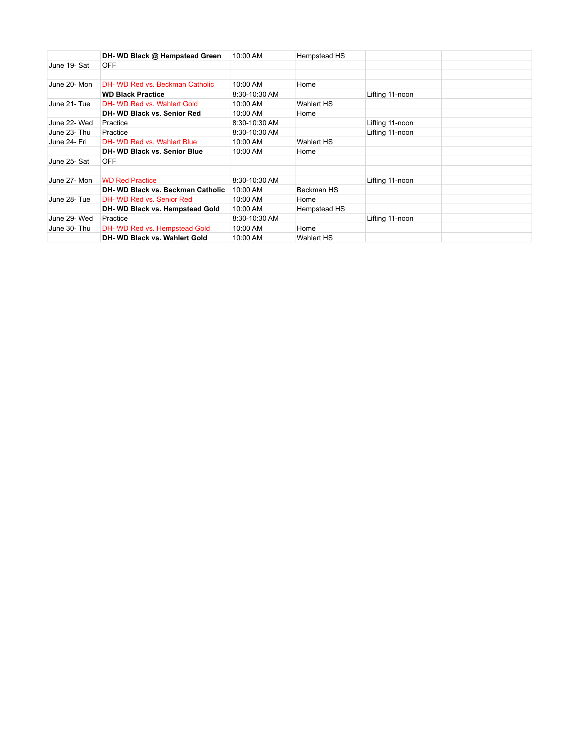|              | DH- WD Black @ Hempstead Green   | 10:00 AM      | Hempstead HS |                 |  |
|--------------|----------------------------------|---------------|--------------|-----------------|--|
| June 19-Sat  | <b>OFF</b>                       |               |              |                 |  |
|              |                                  |               |              |                 |  |
| June 20- Mon | DH- WD Red vs. Beckman Catholic  | 10:00 AM      | Home         |                 |  |
|              | <b>WD Black Practice</b>         | 8:30-10:30 AM |              | Lifting 11-noon |  |
| June 21- Tue | DH- WD Red vs. Wahlert Gold      | 10:00 AM      | Wahlert HS   |                 |  |
|              | DH-WD Black vs. Senior Red       | 10:00 AM      | Home         |                 |  |
| June 22- Wed | Practice                         | 8:30-10:30 AM |              | Lifting 11-noon |  |
| June 23- Thu | Practice                         | 8:30-10:30 AM |              | Lifting 11-noon |  |
| June 24- Fri | DH- WD Red vs. Wahlert Blue      | 10:00 AM      | Wahlert HS   |                 |  |
|              | DH-WD Black vs. Senior Blue      | 10:00 AM      | Home         |                 |  |
| June 25- Sat | <b>OFF</b>                       |               |              |                 |  |
|              |                                  |               |              |                 |  |
| June 27- Mon | <b>WD Red Practice</b>           | 8:30-10:30 AM |              | Lifting 11-noon |  |
|              | DH-WD Black vs. Beckman Catholic | 10:00 AM      | Beckman HS   |                 |  |
| June 28- Tue | DH- WD Red vs. Senior Red        | 10:00 AM      | Home         |                 |  |
|              | DH- WD Black vs. Hempstead Gold  | 10:00 AM      | Hempstead HS |                 |  |
| June 29- Wed | Practice                         | 8:30-10:30 AM |              | Lifting 11-noon |  |
| June 30- Thu | DH- WD Red vs. Hempstead Gold    | 10:00 AM      | Home         |                 |  |
|              | DH- WD Black vs. Wahlert Gold    | 10:00 AM      | Wahlert HS   |                 |  |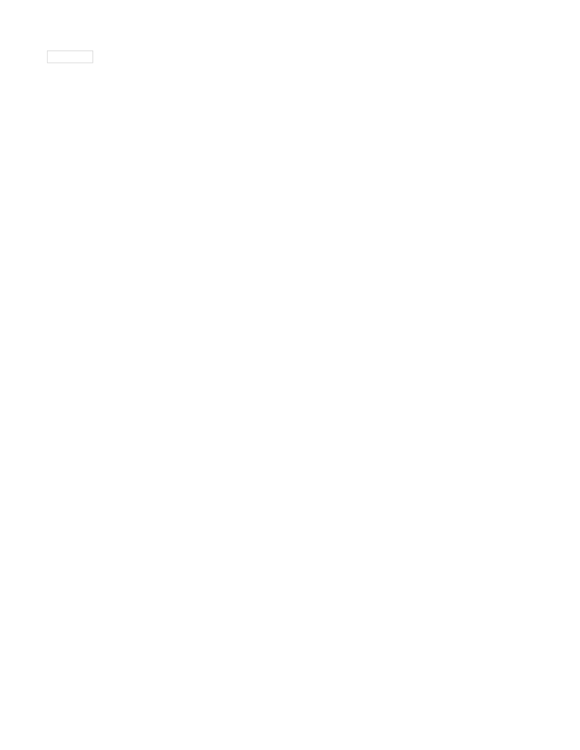$\sim 10^{-10}$